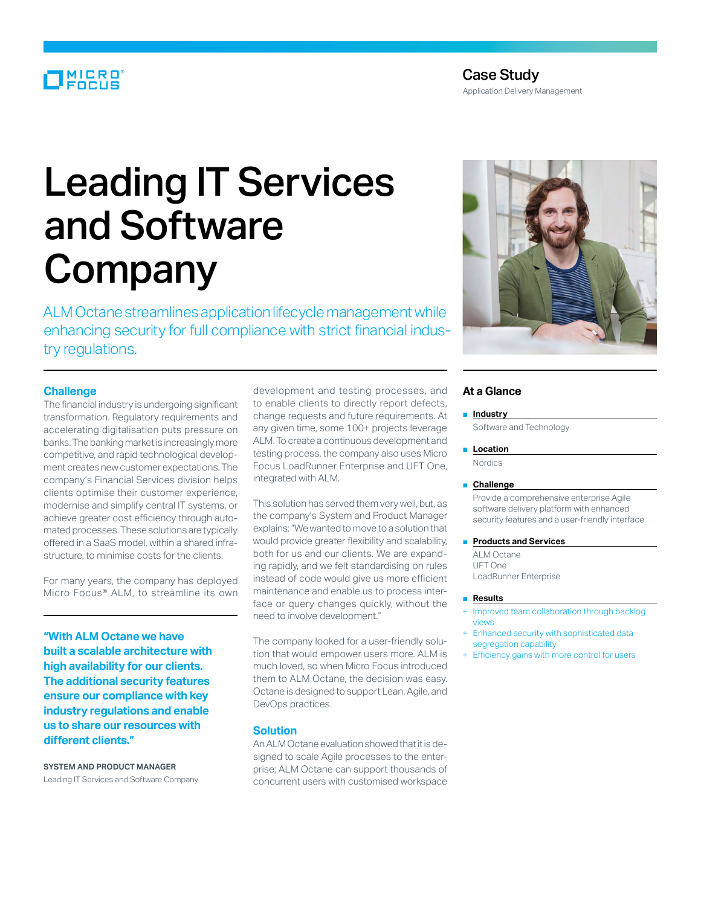# MICRO<sup>®</sup>

Application Delivery Management

# Leading IT Services and Software Company

ALM Octane streamlines application lifecycle management while enhancing security for full compliance with strict financial industry regulations.

# **Challenge**

The financial industry is undergoing significant transformation. Regulatory requirements and accelerating digitalisation puts pressure on banks. The banking market is increasingly more competitive, and rapid technological development creates new customer expectations. The company's Financial Services division helps clients optimise their customer experience, modernise and simplify central IT systems, or achieve greater cost efficiency through automated processes. These solutions are typically offered in a SaaS model, within a shared infrastructure, to minimise costs for the clients.

For many years, the company has deployed Micro Focus® ALM, to streamline its own

**"With ALM Octane we have built a scalable architecture with high availability for our clients. The additional security features ensure our compliance with key industry regulations and enable us to share our resources with different clients."**

**System and Product Manager** Leading IT Services and Software Company development and testing processes, and to enable clients to directly report defects, change requests and future requirements. At any given time, some 100+ projects leverage ALM. To create a continuous development and testing process, the company also uses Micro Focus LoadRunner Enterprise and UFT One, integrated with ALM.

This solution has served them very well, but, as the company's System and Product Manager explains: "We wanted to move to a solution that would provide greater flexibility and scalability, both for us and our clients. We are expanding rapidly, and we felt standardising on rules instead of code would give us more efficient maintenance and enable us to process interface or query changes quickly, without the need to involve development."

The company looked for a user-friendly solution that would empower users more. ALM is much loved, so when Micro Focus introduced them to ALM Octane, the decision was easy. Octane is designed to support Lean, Agile, and DevOps practices.

# **Solution**

An ALM Octane evaluation showed that it is designed to scale Agile processes to the enterprise; ALM Octane can support thousands of concurrent users with customised workspace



# **At a Glance**

■ **Industry**

Software and Technology

#### ■ **Location**

Nordics

#### ■ **Challenge**

Provide a comprehensive enterprise Agile software delivery platform with enhanced security features and a user-friendly interface

- **Products and Services** 
	- ALM Octane UFT One LoadRunner Enterprise

#### ■ **Results**

- Improved team collaboration through backlog views
- Enhanced security with sophisticated data segregation capability
- Efficiency gains with more control for users